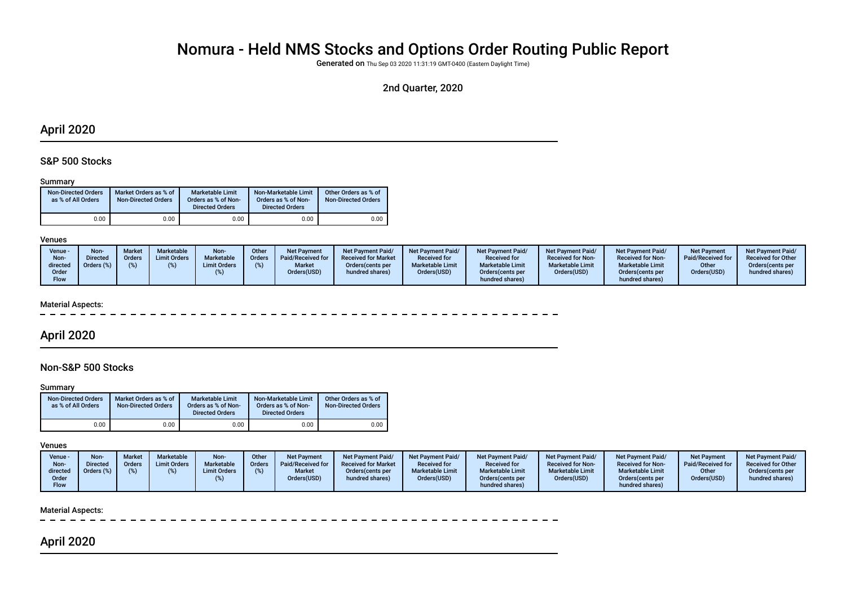# Nomura - Held NMS Stocks and Options Order Routing Public Report

Generated on Thu Sep 03 2020 11:31:19 GMT-0400 (Eastern Daylight Time)

# 2nd Quarter, 2020

# April 2020

## S&P 500 Stocks

#### Summary

| <b>Non-Directed Orders</b><br>as % of All Orders | Market Orders as % of<br><b>Non-Directed Orders</b> | Marketable Limit<br>Orders as % of Non-<br><b>Directed Orders</b> | Non-Marketable Limit<br>Orders as % of Non-<br><b>Directed Orders</b> | Other Orders as % of<br><b>Non-Directed Orders</b> |
|--------------------------------------------------|-----------------------------------------------------|-------------------------------------------------------------------|-----------------------------------------------------------------------|----------------------------------------------------|
| 0.00                                             | 0.00                                                | 0.00                                                              | 0.00                                                                  | 0.00                                               |

#### Venues

| Venue -<br>Non-<br>directed<br>Order<br>Flow | Non-<br><b>Directed</b><br>Orders (%) | <b>Market</b><br><b>Orders</b> | Marketable<br><b>Limit Orders</b> | Non-<br>Marketable<br><b>Limit Orders</b> | Other<br>Orders | Net Payment<br>Paid/Received for<br><b>Market</b><br>Orders(USD) | <b>Net Payment Paid/</b><br><b>Received for Market</b><br>Orders (cents per<br>hundred shares) | <b>Net Payment Paid/</b><br><b>Received for</b><br><b>Marketable Limit</b><br>Orders(USD) | <b>Net Payment Paid/</b><br><b>Received for</b><br><b>Marketable Limit</b><br>Orders (cents per<br>hundred shares) | <b>Net Payment Paid/</b><br><b>Received for Non-</b><br><b>Marketable Limit</b><br>Orders(USD) | <b>Net Payment Paid/</b><br><b>Received for Non-</b><br><b>Marketable Limit</b><br>Orders (cents per<br>hundred shares) | <b>Net Payment</b><br>Paid/Received for<br>Other<br>Orders(USD) | <b>Net Payment Paid/</b><br><b>Received for Other</b><br>Orders cents per<br>hundred shares) |
|----------------------------------------------|---------------------------------------|--------------------------------|-----------------------------------|-------------------------------------------|-----------------|------------------------------------------------------------------|------------------------------------------------------------------------------------------------|-------------------------------------------------------------------------------------------|--------------------------------------------------------------------------------------------------------------------|------------------------------------------------------------------------------------------------|-------------------------------------------------------------------------------------------------------------------------|-----------------------------------------------------------------|----------------------------------------------------------------------------------------------|
|----------------------------------------------|---------------------------------------|--------------------------------|-----------------------------------|-------------------------------------------|-----------------|------------------------------------------------------------------|------------------------------------------------------------------------------------------------|-------------------------------------------------------------------------------------------|--------------------------------------------------------------------------------------------------------------------|------------------------------------------------------------------------------------------------|-------------------------------------------------------------------------------------------------------------------------|-----------------------------------------------------------------|----------------------------------------------------------------------------------------------|

#### Material Aspects:

# April 2020

## Non-S&P 500 Stocks

#### **Summary**

| <b>Non-Directed Orders</b><br>as % of All Orders | Market Orders as % of<br><b>Non-Directed Orders</b> | Marketable Limit<br>Orders as % of Non-<br><b>Directed Orders</b> | Non-Marketable Limit<br>Orders as % of Non-<br><b>Directed Orders</b> | Other Orders as % of<br><b>Non-Directed Orders</b> |
|--------------------------------------------------|-----------------------------------------------------|-------------------------------------------------------------------|-----------------------------------------------------------------------|----------------------------------------------------|
| 0.00                                             | 0.00                                                | 0.00                                                              | 0.00                                                                  | 0.00                                               |

#### Venues

| Venue -<br>Non-<br>directed | <b>Non-</b><br>Directed | <b>Market</b><br>Orders<br>$\%$ | Marketable<br><b>Limit Orders</b> | Non-<br>Marketable<br><b>Limit Orders</b> | Other<br><b>Orders</b> | <b>Net Payment</b><br>Paid/Received for<br><b>Market</b> | <b>Net Payment Paid/</b><br><b>Received for Market</b><br>Orders (cents per | Net Payment Paid/<br><b>Received for</b><br><b>Marketable Limit</b> | Net Payment Paid/<br><b>Received for</b><br><b>Marketable Limit</b> | <b>Net Payment Paid/</b><br><b>Received for Non-</b><br><b>Marketable Limit</b> | <b>Net Payment Paid/</b><br><b>Received for Non-</b><br><b>Marketable Limit</b> | <b>Net Payment</b><br>Paid/Received for<br>Other | <b>Net Payment Paid/</b><br><b>Received for Other</b><br>Orders(cents per |
|-----------------------------|-------------------------|---------------------------------|-----------------------------------|-------------------------------------------|------------------------|----------------------------------------------------------|-----------------------------------------------------------------------------|---------------------------------------------------------------------|---------------------------------------------------------------------|---------------------------------------------------------------------------------|---------------------------------------------------------------------------------|--------------------------------------------------|---------------------------------------------------------------------------|
| Order<br>Flow               |                         |                                 |                                   |                                           |                        | Orders(USD)                                              | hundred shares)                                                             | Orders(USD)                                                         | Orders (cents per<br>hundred shares)                                | Orders(USD)                                                                     | Orders (cents per<br>hundred shares)                                            | Orders(USD)                                      | hundred shares)                                                           |

#### Material Aspects:

# April 2020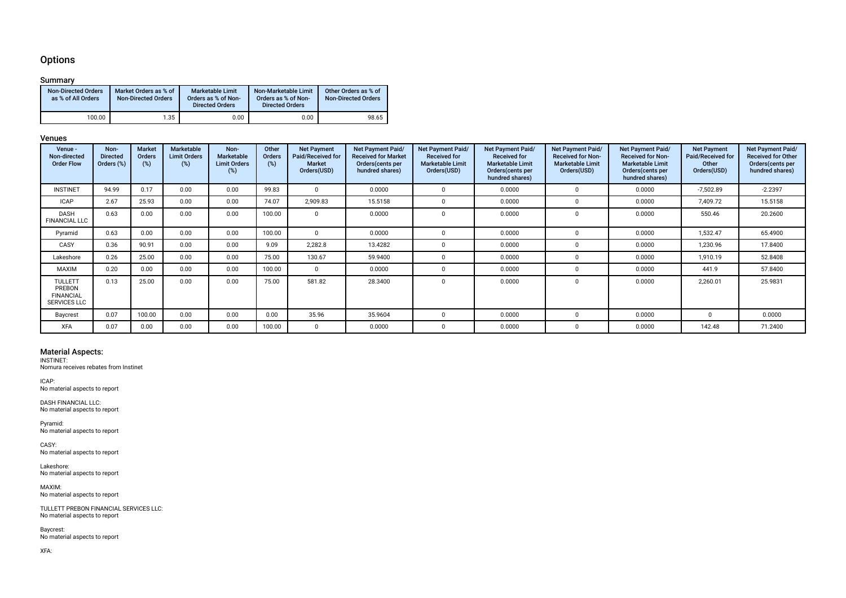## **Options**

### Summary

| <b>Non-Directed Orders</b><br>as % of All Orders | Market Orders as % of<br><b>Non-Directed Orders</b> | Marketable Limit<br>Orders as % of Non-<br><b>Directed Orders</b> | Non-Marketable Limit<br>Orders as % of Non-<br><b>Directed Orders</b> | Other Orders as % of<br><b>Non-Directed Orders</b> |
|--------------------------------------------------|-----------------------------------------------------|-------------------------------------------------------------------|-----------------------------------------------------------------------|----------------------------------------------------|
| 100.00                                           | 1.35                                                | 0.00                                                              | 0.00                                                                  | 98.65                                              |

#### Venues

| Venue -<br>Non-directed<br><b>Order Flow</b>                        | Non-<br><b>Directed</b><br>Orders (%) | <b>Market</b><br>Orders<br>(%) | Marketable<br><b>Limit Orders</b><br>(%) | Non-<br><b>Marketable</b><br><b>Limit Orders</b><br>(%) | Other<br>Orders<br>(%) | <b>Net Payment</b><br>Paid/Received for<br><b>Market</b><br>Orders(USD) | <b>Net Payment Paid/</b><br><b>Received for Market</b><br>Orders (cents per<br>hundred shares) | Net Payment Paid/<br><b>Received for</b><br><b>Marketable Limit</b><br>Orders(USD) | Net Payment Paid/<br><b>Received for</b><br><b>Marketable Limit</b><br>Orders (cents per<br>hundred shares) | Net Payment Paid/<br><b>Received for Non-</b><br><b>Marketable Limit</b><br>Orders(USD) | Net Payment Paid/<br><b>Received for Non-</b><br><b>Marketable Limit</b><br>Orders (cents per<br>hundred shares) | <b>Net Payment</b><br>Paid/Received for<br>Other<br>Orders(USD) | Net Payment Paid/<br><b>Received for Other</b><br>Orders (cents per<br>hundred shares) |
|---------------------------------------------------------------------|---------------------------------------|--------------------------------|------------------------------------------|---------------------------------------------------------|------------------------|-------------------------------------------------------------------------|------------------------------------------------------------------------------------------------|------------------------------------------------------------------------------------|-------------------------------------------------------------------------------------------------------------|-----------------------------------------------------------------------------------------|------------------------------------------------------------------------------------------------------------------|-----------------------------------------------------------------|----------------------------------------------------------------------------------------|
| <b>INSTINET</b>                                                     | 94.99                                 | 0.17                           | 0.00                                     | 0.00                                                    | 99.83                  |                                                                         | 0.0000                                                                                         | U                                                                                  | 0.0000                                                                                                      | $\Omega$                                                                                | 0.0000                                                                                                           | $-7,502.89$                                                     | $-2.2397$                                                                              |
| <b>ICAP</b>                                                         | 2.67                                  | 25.93                          | 0.00                                     | 0.00                                                    | 74.07                  | 2,909.83                                                                | 15.5158                                                                                        |                                                                                    | 0.0000                                                                                                      |                                                                                         | 0.0000                                                                                                           | 7,409.72                                                        | 15.5158                                                                                |
| <b>DASH</b><br><b>FINANCIAL LLC</b>                                 | 0.63                                  | 0.00                           | 0.00                                     | 0.00                                                    | 100.00                 |                                                                         | 0.0000                                                                                         |                                                                                    | 0.0000                                                                                                      |                                                                                         | 0.0000                                                                                                           | 550.46                                                          | 20.2600                                                                                |
| Pyramid                                                             | 0.63                                  | 0.00                           | 0.00                                     | 0.00                                                    | 100.00                 |                                                                         | 0.0000                                                                                         |                                                                                    | 0.0000                                                                                                      |                                                                                         | 0.0000                                                                                                           | 1,532.47                                                        | 65.4900                                                                                |
| CASY                                                                | 0.36                                  | 90.91                          | 0.00                                     | 0.00                                                    | 9.09                   | 2,282.8                                                                 | 13.4282                                                                                        |                                                                                    | 0.0000                                                                                                      |                                                                                         | 0.0000                                                                                                           | 1,230.96                                                        | 17.8400                                                                                |
| Lakeshore                                                           | 0.26                                  | 25.00                          | 0.00                                     | 0.00                                                    | 75.00                  | 130.67                                                                  | 59.9400                                                                                        |                                                                                    | 0.0000                                                                                                      | $\Omega$                                                                                | 0.0000                                                                                                           | 1,910.19                                                        | 52.8408                                                                                |
| MAXIM                                                               | 0.20                                  | 0.00                           | 0.00                                     | 0.00                                                    | 100.00                 |                                                                         | 0.0000                                                                                         |                                                                                    | 0.0000                                                                                                      |                                                                                         | 0.0000                                                                                                           | 441.9                                                           | 57.8400                                                                                |
| <b>TULLETT</b><br>PREBON<br><b>FINANCIAL</b><br><b>SERVICES LLC</b> | 0.13                                  | 25.00                          | 0.00                                     | 0.00                                                    | 75.00                  | 581.82                                                                  | 28.3400                                                                                        | n                                                                                  | 0.0000                                                                                                      | $\Omega$                                                                                | 0.0000                                                                                                           | 2,260.01                                                        | 25.9831                                                                                |
| Baycrest                                                            | 0.07                                  | 100.00                         | 0.00                                     | 0.00                                                    | 0.00                   | 35.96                                                                   | 35.9604                                                                                        |                                                                                    | 0.0000                                                                                                      |                                                                                         | 0.0000                                                                                                           |                                                                 | 0.0000                                                                                 |
| <b>XFA</b>                                                          | 0.07                                  | 0.00                           | 0.00                                     | 0.00                                                    | 100.00                 |                                                                         | 0.0000                                                                                         |                                                                                    | 0.0000                                                                                                      |                                                                                         | 0.0000                                                                                                           | 142.48                                                          | 71.2400                                                                                |

Material Aspects: INSTINET: Nomura receives rebates from Instinet

ICAP: No material aspects to report

DASH FINANCIAL LLC: No material aspects to report

Pyramid: No material aspects to report

CASY: No material aspects to report

Lakeshore: No material aspects to report

MAXIM: No material aspects to report

TULLETT PREBON FINANCIAL SERVICES LLC: No material aspects to report

Baycrest: No material aspects to report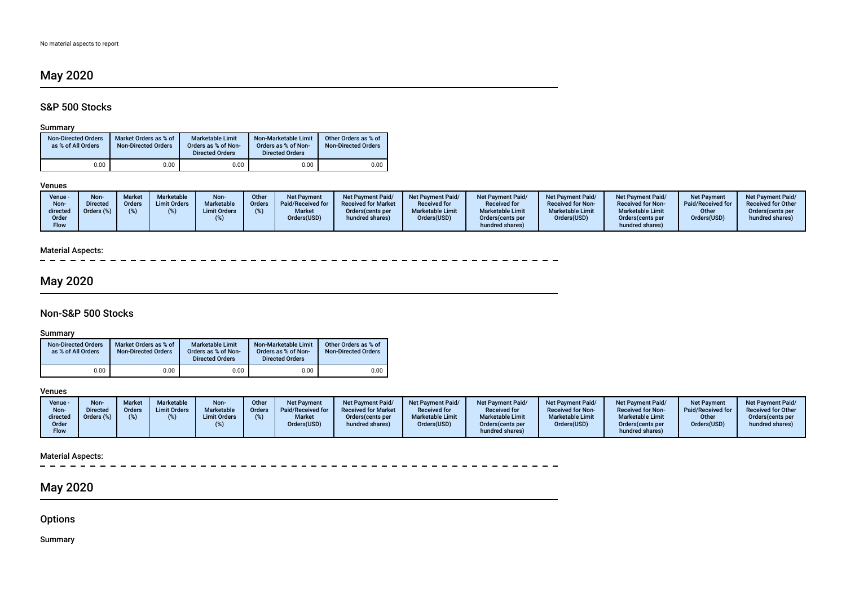# May 2020

# S&P 500 Stocks

### Summary

| <b>Non-Directed Orders</b><br>as % of All Orders | Market Orders as % of<br><b>Non-Directed Orders</b> | Marketable Limit<br>Orders as % of Non-<br><b>Directed Orders</b> | Non-Marketable Limit<br>Orders as % of Non-<br><b>Directed Orders</b> | Other Orders as % of<br><b>Non-Directed Orders</b> |
|--------------------------------------------------|-----------------------------------------------------|-------------------------------------------------------------------|-----------------------------------------------------------------------|----------------------------------------------------|
| 0.00                                             | 0.00                                                | 0.00                                                              | 0.00                                                                  | 0.00                                               |

#### Venues

 $\overline{a}$ 

| Venue -<br>Non-<br>directed<br>Order<br>Flow | <b>Non-</b><br><b>Directed</b><br>Orders (%) | <b>Market</b><br>Orders | <b>Marketable</b><br><b>Limit Orders</b> | Non-<br>Marketable<br><b>Limit Orders</b> | Other<br><b>Orders</b> | <b>Net Payment</b><br>Paid/Received for<br><b>Market</b><br>Orders(USD) | Net Payment Paid/<br><b>Received for Market</b><br>Orders(cents per<br>hundred shares) | <b>Net Payment Paid/</b><br><b>Received for</b><br><b>Marketable Limit</b><br>Orders(USD) | <b>Net Payment Paid/</b><br><b>Received for</b><br><b>Marketable Limit</b><br>Orders (cents per<br>hundred shares) | Net Payment Paid/<br><b>Received for Non-</b><br><b>Marketable Limit</b><br>Orders(USD) | Net Payment Paid/<br><b>Received for Non-</b><br><b>Marketable Limit</b><br>Orders(cents per<br>hundred shares) | <b>Net Payment</b><br>Paid/Received for<br>Other<br>Orders(USD) | <b>Net Payment Paid/</b><br><b>Received for Other</b><br>Orders (cents per<br>hundred shares) |
|----------------------------------------------|----------------------------------------------|-------------------------|------------------------------------------|-------------------------------------------|------------------------|-------------------------------------------------------------------------|----------------------------------------------------------------------------------------|-------------------------------------------------------------------------------------------|--------------------------------------------------------------------------------------------------------------------|-----------------------------------------------------------------------------------------|-----------------------------------------------------------------------------------------------------------------|-----------------------------------------------------------------|-----------------------------------------------------------------------------------------------|
|----------------------------------------------|----------------------------------------------|-------------------------|------------------------------------------|-------------------------------------------|------------------------|-------------------------------------------------------------------------|----------------------------------------------------------------------------------------|-------------------------------------------------------------------------------------------|--------------------------------------------------------------------------------------------------------------------|-----------------------------------------------------------------------------------------|-----------------------------------------------------------------------------------------------------------------|-----------------------------------------------------------------|-----------------------------------------------------------------------------------------------|

# Material Aspects:

# May 2020

# Non-S&P 500 Stocks

### Summary

| <b>Non-Directed Orders</b><br>as % of All Orders | Market Orders as % of<br><b>Non-Directed Orders</b> | <b>Marketable Limit</b><br>Orders as % of Non-<br><b>Directed Orders</b> | Non-Marketable Limit<br>Orders as % of Non-<br><b>Directed Orders</b> | Other Orders as % of<br><b>Non-Directed Orders</b> |
|--------------------------------------------------|-----------------------------------------------------|--------------------------------------------------------------------------|-----------------------------------------------------------------------|----------------------------------------------------|
| 0.00                                             | 0.00                                                | 0.00                                                                     | 0.00                                                                  | 0.00                                               |

### Venues

| Venue -<br>Non-<br>directed<br>Order<br>Flow | Non<br>)irected<br><i><b>urders</b></i> (%) | Marke<br>Orders | <b>Marketable</b><br><b>Limit Orders</b> | Non-<br><b>Marketable</b><br><b>Limit Orders</b> | <b>Other</b><br><b>Orders</b> | Net Payment<br>Paid/Received for<br><b>Market</b><br>Orders(USD) | <b>Net Payment Paid/</b><br><b>Received for Market</b><br>Orders (cents per<br>hundred shares) | Net Payment Paid/<br><b>Received for</b><br><b>Marketable Limit</b><br>Orders(USD) | <b>Net Payment Paid/</b><br><b>Received for</b><br><b>Marketable Limit</b><br>Orders (cents per<br>hundred shares) | Net Payment Paid/<br><b>Received for Non-</b><br><b>Marketable Limit</b><br>Orders(USD) | <b>Net Payment Paid/</b><br><b>Received for Non-</b><br><b>Marketable Limit</b><br>Orders (cents per<br>hundred shares) | <b>Net Payment</b><br>Paid/Received for<br>Other<br>Orders(USD) | <b>Net Payment Paid/</b><br><b>Received for Other</b><br>Orders (cents per<br>hundred shares) |
|----------------------------------------------|---------------------------------------------|-----------------|------------------------------------------|--------------------------------------------------|-------------------------------|------------------------------------------------------------------|------------------------------------------------------------------------------------------------|------------------------------------------------------------------------------------|--------------------------------------------------------------------------------------------------------------------|-----------------------------------------------------------------------------------------|-------------------------------------------------------------------------------------------------------------------------|-----------------------------------------------------------------|-----------------------------------------------------------------------------------------------|
|----------------------------------------------|---------------------------------------------|-----------------|------------------------------------------|--------------------------------------------------|-------------------------------|------------------------------------------------------------------|------------------------------------------------------------------------------------------------|------------------------------------------------------------------------------------|--------------------------------------------------------------------------------------------------------------------|-----------------------------------------------------------------------------------------|-------------------------------------------------------------------------------------------------------------------------|-----------------------------------------------------------------|-----------------------------------------------------------------------------------------------|

## Material Aspects:

 $\sim$ 

# May 2020

**Options** 

Summary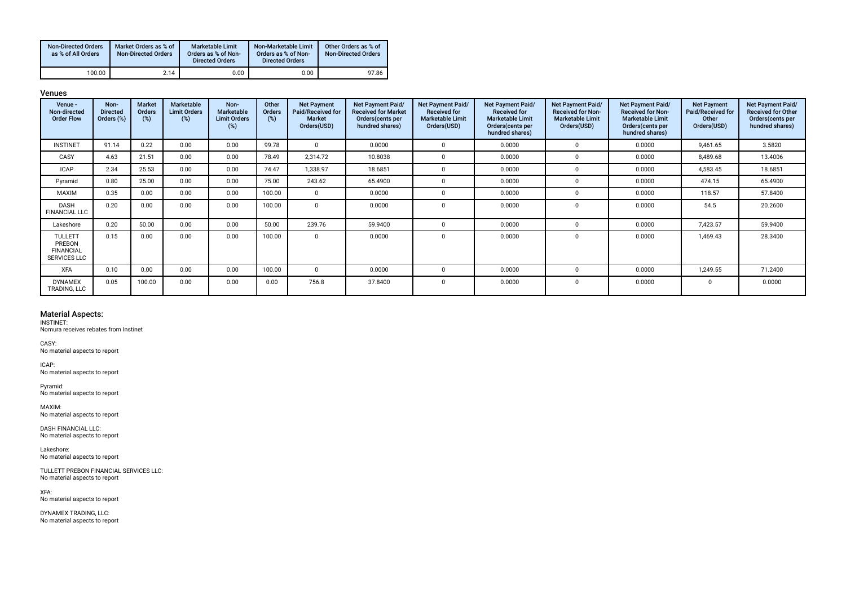| <b>Non-Directed Orders</b><br>as % of All Orders | Market Orders as % of<br><b>Non-Directed Orders</b> | Marketable Limit<br>Orders as % of Non-<br><b>Directed Orders</b> | Non-Marketable Limit<br>Orders as % of Non-<br><b>Directed Orders</b> | Other Orders as % of<br><b>Non-Directed Orders</b> |
|--------------------------------------------------|-----------------------------------------------------|-------------------------------------------------------------------|-----------------------------------------------------------------------|----------------------------------------------------|
| 100.00                                           | 2.14                                                | 0.00                                                              | 0.00                                                                  | 97.86                                              |

Venues

| Venue -<br>Non-directed<br><b>Order Flow</b>                        | Non-<br><b>Directed</b><br>Orders (%) | <b>Market</b><br>Orders<br>(%) | Marketable<br><b>Limit Orders</b><br>(%) | Non-<br>Marketable<br><b>Limit Orders</b><br>(%) | Other<br>Orders<br>(%) | <b>Net Payment</b><br>Paid/Received for<br><b>Market</b><br>Orders(USD) | Net Payment Paid/<br><b>Received for Market</b><br>Orders (cents per<br>hundred shares) | Net Payment Paid/<br><b>Received for</b><br><b>Marketable Limit</b><br>Orders(USD) | Net Payment Paid/<br><b>Received for</b><br><b>Marketable Limit</b><br>Orders(cents per<br>hundred shares) | Net Payment Paid/<br>Received for Non-<br><b>Marketable Limit</b><br>Orders(USD) | Net Payment Paid/<br><b>Received for Non-</b><br><b>Marketable Limit</b><br>Orders(cents per<br>hundred shares) | <b>Net Payment</b><br>Paid/Received for<br>Other<br>Orders(USD) | Net Payment Paid/<br><b>Received for Other</b><br>Orders(cents per<br>hundred shares) |
|---------------------------------------------------------------------|---------------------------------------|--------------------------------|------------------------------------------|--------------------------------------------------|------------------------|-------------------------------------------------------------------------|-----------------------------------------------------------------------------------------|------------------------------------------------------------------------------------|------------------------------------------------------------------------------------------------------------|----------------------------------------------------------------------------------|-----------------------------------------------------------------------------------------------------------------|-----------------------------------------------------------------|---------------------------------------------------------------------------------------|
| <b>INSTINET</b>                                                     | 91.14                                 | 0.22                           | 0.00                                     | 0.00                                             | 99.78                  | $\Omega$                                                                | 0.0000                                                                                  | $\Omega$                                                                           | 0.0000                                                                                                     | $\Omega$                                                                         | 0.0000                                                                                                          | 9,461.65                                                        | 3.5820                                                                                |
| CASY                                                                | 4.63                                  | 21.51                          | 0.00                                     | 0.00                                             | 78.49                  | 2,314.72                                                                | 10.8038                                                                                 | $\mathbf 0$                                                                        | 0.0000                                                                                                     | 0                                                                                | 0.0000                                                                                                          | 8,489.68                                                        | 13.4006                                                                               |
| <b>ICAP</b>                                                         | 2.34                                  | 25.53                          | 0.00                                     | 0.00                                             | 74.47                  | 1,338.97                                                                | 18.6851                                                                                 | $\Omega$                                                                           | 0.0000                                                                                                     | $\Omega$                                                                         | 0.0000                                                                                                          | 4,583.45                                                        | 18.6851                                                                               |
| Pyramid                                                             | 0.80                                  | 25.00                          | 0.00                                     | 0.00                                             | 75.00                  | 243.62                                                                  | 65.4900                                                                                 | $\Omega$                                                                           | 0.0000                                                                                                     | $\Omega$                                                                         | 0.0000                                                                                                          | 474.15                                                          | 65.4900                                                                               |
| <b>MAXIM</b>                                                        | 0.35                                  | 0.00                           | 0.00                                     | 0.00                                             | 100.00                 | $\Omega$                                                                | 0.0000                                                                                  | $\Omega$                                                                           | 0.0000                                                                                                     | $\Omega$                                                                         | 0.0000                                                                                                          | 118.57                                                          | 57.8400                                                                               |
| DASH<br><b>FINANCIAL LLC</b>                                        | 0.20                                  | 0.00                           | 0.00                                     | 0.00                                             | 100.00                 | $\Omega$                                                                | 0.0000                                                                                  | 0                                                                                  | 0.0000                                                                                                     | $\Omega$                                                                         | 0.0000                                                                                                          | 54.5                                                            | 20.2600                                                                               |
| Lakeshore                                                           | 0.20                                  | 50.00                          | 0.00                                     | 0.00                                             | 50.00                  | 239.76                                                                  | 59.9400                                                                                 | $\Omega$                                                                           | 0.0000                                                                                                     | $\Omega$                                                                         | 0.0000                                                                                                          | 7,423.57                                                        | 59.9400                                                                               |
| <b>TULLETT</b><br>PREBON<br><b>FINANCIAL</b><br><b>SERVICES LLC</b> | 0.15                                  | 0.00                           | 0.00                                     | 0.00                                             | 100.00                 | $\Omega$                                                                | 0.0000                                                                                  | 0                                                                                  | 0.0000                                                                                                     | 0                                                                                | 0.0000                                                                                                          | 1,469.43                                                        | 28.3400                                                                               |
| <b>XFA</b>                                                          | 0.10                                  | 0.00                           | 0.00                                     | 0.00                                             | 100.00                 | $\Omega$                                                                | 0.0000                                                                                  | $\Omega$                                                                           | 0.0000                                                                                                     | $\Omega$                                                                         | 0.0000                                                                                                          | 1,249.55                                                        | 71.2400                                                                               |
| <b>DYNAMEX</b><br>TRADING, LLC                                      | 0.05                                  | 100.00                         | 0.00                                     | 0.00                                             | 0.00                   | 756.8                                                                   | 37.8400                                                                                 | 0                                                                                  | 0.0000                                                                                                     | $\mathbf 0$                                                                      | 0.0000                                                                                                          | $\Omega$                                                        | 0.0000                                                                                |

#### Material Aspects:

INSTINET: Nomura receives rebates from Instinet

CASY: No material aspects to report

ICAP: No material aspects to report

Pyramid: No material aspects to report

MAXIM: No material aspects to report

DASH FINANCIAL LLC: No material aspects to report

Lakeshore: No material aspects to report

TULLETT PREBON FINANCIAL SERVICES LLC: No material aspects to report

XFA: No material aspects to report

DYNAMEX TRADING, LLC: No material aspects to report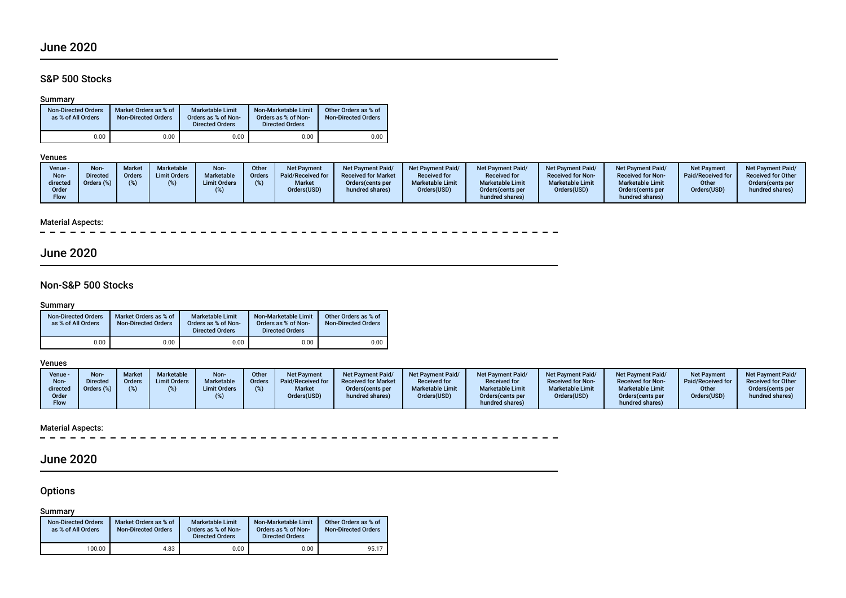# June 2020

# S&P 500 Stocks

### Summary

| <b>Non-Directed Orders</b><br>as % of All Orders |      | Market Orders as % of<br><b>Non-Directed Orders</b> | Marketable Limit<br>Orders as % of Non-<br><b>Directed Orders</b> | Non-Marketable Limit<br>Orders as % of Non-<br><b>Directed Orders</b> | Other Orders as % of<br><b>Non-Directed Orders</b> |
|--------------------------------------------------|------|-----------------------------------------------------|-------------------------------------------------------------------|-----------------------------------------------------------------------|----------------------------------------------------|
|                                                  | 0.00 | 0.00                                                | 0.00                                                              | 0.00                                                                  | 0.00                                               |

### Venues

| Non-<br>Other<br>Marketable<br><b>Market</b><br>Venue -<br><b>Net Payment</b><br><b>Net Payment Paid/</b><br><b>Net Payment Paid/</b><br><b>Non</b><br>Marketable<br><b>Limit Orders</b><br><b>Received for Market</b><br>Paid/Received for<br><b>Directed</b><br>Orders<br><b>Received for</b><br>Order:<br>Non-<br><b>Marketable Limit</b><br>Orders (%)<br><b>Market</b><br><b>Limit Orders</b><br>directed<br>Orders (cents per<br>Orders(USD)<br>Orders(USD)<br>hundred shares)<br>Order<br><b>Flow</b> | <b>Net Payment Paid/</b><br><b>Net Payment Paid/</b><br><b>Received for</b><br><b>Received for Non-</b><br><b>Marketable Limit</b><br><b>Marketable Limit</b><br>Orders(USD)<br>Orders (cents per<br>hundred shares) | <b>Net Payment Paid/</b><br><b>Net Payment</b><br>Paid/Received for<br><b>Received for Non-</b><br><b>Marketable Limit</b><br>Other<br>Orders(USD)<br>Orders (cents per<br>hundred shares) | <b>Net Payment Paid/</b><br><b>Received for Other</b><br>Orders(cents per<br>hundred shares) |
|--------------------------------------------------------------------------------------------------------------------------------------------------------------------------------------------------------------------------------------------------------------------------------------------------------------------------------------------------------------------------------------------------------------------------------------------------------------------------------------------------------------|----------------------------------------------------------------------------------------------------------------------------------------------------------------------------------------------------------------------|--------------------------------------------------------------------------------------------------------------------------------------------------------------------------------------------|----------------------------------------------------------------------------------------------|
|--------------------------------------------------------------------------------------------------------------------------------------------------------------------------------------------------------------------------------------------------------------------------------------------------------------------------------------------------------------------------------------------------------------------------------------------------------------------------------------------------------------|----------------------------------------------------------------------------------------------------------------------------------------------------------------------------------------------------------------------|--------------------------------------------------------------------------------------------------------------------------------------------------------------------------------------------|----------------------------------------------------------------------------------------------|

### Material Aspects:

\_ \_ \_ \_ \_ \_ \_ \_ \_ \_ \_ \_ \_ \_ \_ \_  $\overline{\phantom{0}}$ 

# June 2020

# Non-S&P 500 Stocks

## Summary

| <b>Non-Directed Orders</b><br>as % of All Orders |      | Market Orders as % of<br><b>Non-Directed Orders</b> | <b>Marketable Limit</b><br>Orders as % of Non-<br><b>Directed Orders</b> | Non-Marketable Limit<br>Orders as % of Non-<br><b>Directed Orders</b> | Other Orders as % of<br><b>Non-Directed Orders</b> |  |  |
|--------------------------------------------------|------|-----------------------------------------------------|--------------------------------------------------------------------------|-----------------------------------------------------------------------|----------------------------------------------------|--|--|
|                                                  | 0.00 | 0.00                                                | 0.00                                                                     | 0.00                                                                  | 0.00                                               |  |  |

#### Venues

| Venue -<br>Non-<br>directed<br>Order<br><b>Flow</b> | Non<br>)irected<br>$Jrders (\%)$ | <b>Market</b><br><b>Orders</b> | Marketable<br><b>Limit Orders</b> | Non-<br><b>Marketable</b><br><b>Limit Orders</b> | <b>Other</b><br><b>Orders</b> | <b>Net Payment</b><br>Paid/Received for<br><b>Market</b><br>Orders(USD) | <b>Net Payment Paid/</b><br><b>Received for Market</b><br>Orders (cents per<br>hundred shares) | Net Payment Paid/<br><b>Received for</b><br><b>Marketable Limit</b><br>Orders(USD) | <b>Net Payment Paid/</b><br><b>Received for</b><br><b>Marketable Limit</b><br>Orders (cents per<br>hundred shares) | Net Payment Paid/<br><b>Received for Non-</b><br><b>Marketable Limit</b><br>Orders(USD) | <b>Net Payment Paid/</b><br><b>Received for Non-</b><br><b>Marketable Limit</b><br>Orders(cents per<br>hundred shares) | <b>Net Payment</b><br>Paid/Received for<br>Other<br>Orders(USD) | <b>Net Payment Paid/</b><br><b>Received for Other</b><br>Orders(cents per<br>hundred shares) |
|-----------------------------------------------------|----------------------------------|--------------------------------|-----------------------------------|--------------------------------------------------|-------------------------------|-------------------------------------------------------------------------|------------------------------------------------------------------------------------------------|------------------------------------------------------------------------------------|--------------------------------------------------------------------------------------------------------------------|-----------------------------------------------------------------------------------------|------------------------------------------------------------------------------------------------------------------------|-----------------------------------------------------------------|----------------------------------------------------------------------------------------------|
|-----------------------------------------------------|----------------------------------|--------------------------------|-----------------------------------|--------------------------------------------------|-------------------------------|-------------------------------------------------------------------------|------------------------------------------------------------------------------------------------|------------------------------------------------------------------------------------|--------------------------------------------------------------------------------------------------------------------|-----------------------------------------------------------------------------------------|------------------------------------------------------------------------------------------------------------------------|-----------------------------------------------------------------|----------------------------------------------------------------------------------------------|

# Material Aspects:<br> $- - - - -$

\_ \_ \_ \_ \_ \_ \_ \_ \_ \_ \_ \_ \_ \_

# June 2020

# **Options**

Summary

| <b>Non-Directed Orders</b><br>as % of All Orders | Market Orders as % of<br><b>Non-Directed Orders</b> | <b>Marketable Limit</b><br>Orders as % of Non-<br><b>Directed Orders</b> | Non-Marketable Limit<br>Orders as % of Non-<br><b>Directed Orders</b> | Other Orders as % of<br><b>Non-Directed Orders</b> |
|--------------------------------------------------|-----------------------------------------------------|--------------------------------------------------------------------------|-----------------------------------------------------------------------|----------------------------------------------------|
| 100.00                                           | 4.83                                                | 0.00                                                                     | 0.00                                                                  | 95.17                                              |